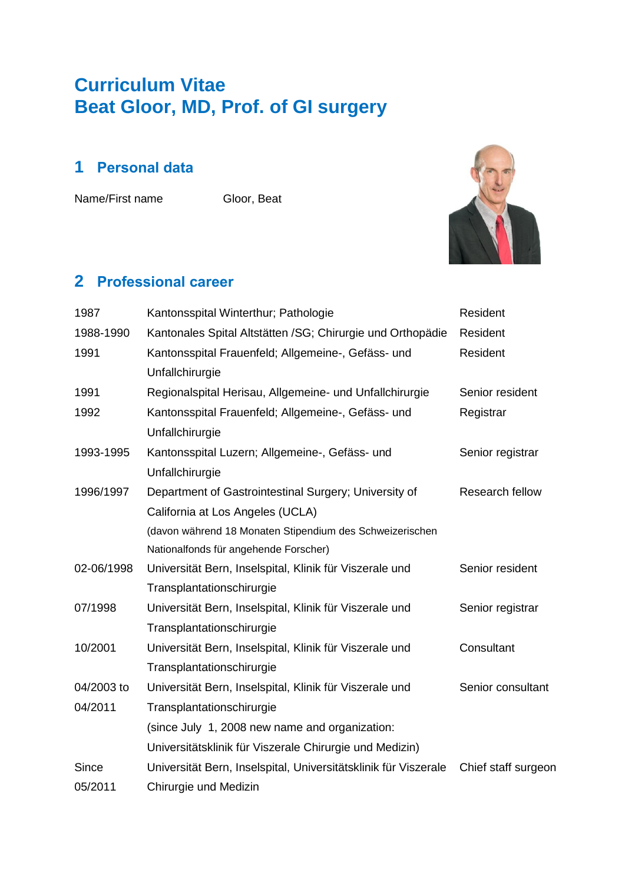# **Curriculum Vitae Beat Gloor, MD, Prof. of GI surgery**

# **1 Personal data**

Name/First name Gloor, Beat



## **2 Professional career**

| 1987         | Kantonsspital Winterthur; Pathologie                            | Resident            |
|--------------|-----------------------------------------------------------------|---------------------|
| 1988-1990    | Kantonales Spital Altstätten / SG; Chirurgie und Orthopädie     | Resident            |
| 1991         | Kantonsspital Frauenfeld; Allgemeine-, Gefäss- und              | Resident            |
|              | Unfallchirurgie                                                 |                     |
| 1991         | Regionalspital Herisau, Allgemeine- und Unfallchirurgie         | Senior resident     |
| 1992         | Kantonsspital Frauenfeld; Allgemeine-, Gefäss- und              | Registrar           |
|              | Unfallchirurgie                                                 |                     |
| 1993-1995    | Kantonsspital Luzern; Allgemeine-, Gefäss- und                  | Senior registrar    |
|              | Unfallchirurgie                                                 |                     |
| 1996/1997    | Department of Gastrointestinal Surgery; University of           | Research fellow     |
|              | California at Los Angeles (UCLA)                                |                     |
|              | (davon während 18 Monaten Stipendium des Schweizerischen        |                     |
|              | Nationalfonds für angehende Forscher)                           |                     |
| 02-06/1998   | Universität Bern, Inselspital, Klinik für Viszerale und         | Senior resident     |
|              | Transplantationschirurgie                                       |                     |
| 07/1998      | Universität Bern, Inselspital, Klinik für Viszerale und         | Senior registrar    |
|              | Transplantationschirurgie                                       |                     |
| 10/2001      | Universität Bern, Inselspital, Klinik für Viszerale und         | Consultant          |
|              | Transplantationschirurgie                                       |                     |
| 04/2003 to   | Universität Bern, Inselspital, Klinik für Viszerale und         | Senior consultant   |
| 04/2011      | Transplantationschirurgie                                       |                     |
|              | (since July 1, 2008 new name and organization:                  |                     |
|              | Universitätsklinik für Viszerale Chirurgie und Medizin)         |                     |
| <b>Since</b> | Universität Bern, Inselspital, Universitätsklinik für Viszerale | Chief staff surgeon |
| 05/2011      | Chirurgie und Medizin                                           |                     |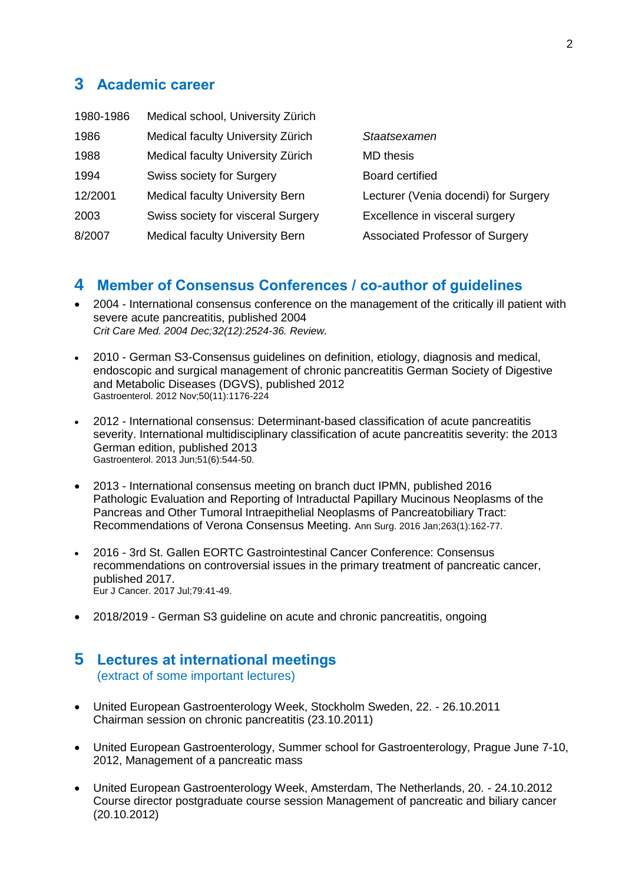### **3 Academic career**

| Medical school, University Zürich      |                                      |
|----------------------------------------|--------------------------------------|
| Medical faculty University Zürich      | Staatsexamen                         |
| Medical faculty University Zürich      | <b>MD</b> thesis                     |
| <b>Swiss society for Surgery</b>       | <b>Board certified</b>               |
| <b>Medical faculty University Bern</b> | Lecturer (Venia docendi) for Surgery |
| Swiss society for visceral Surgery     | Excellence in visceral surgery       |
| <b>Medical faculty University Bern</b> | Associated Professor of Surgery      |
|                                        |                                      |

### **4 Member of Consensus Conferences / co-author of guidelines**

- 2004 International consensus conference on the management of the critically ill patient with severe acute pancreatitis, published 2004 *Crit Care Med. 2004 Dec;32(12):2524-36. Review.*
- 2010 German S3-Consensus guidelines on definition, etiology, diagnosis and medical, endoscopic and surgical management of chronic pancreatitis German Society of Digestive and Metabolic Diseases (DGVS), published 2012 Gastroenterol. 2012 Nov;50(11):1176-224
- 2012 International consensus: Determinant-based classification of acute pancreatitis severity. International multidisciplinary classification of acute pancreatitis severity: the 2013 German edition, published 2013 Gastroenterol. 2013 Jun;51(6):544-50.
- 2013 International consensus meeting on branch duct IPMN, published 2016 [Pathologic Evaluation and Reporting of Intraductal Papillary Mucinous Neoplasms of the](https://www.ncbi.nlm.nih.gov/pubmed/25775066)  [Pancreas and Other Tumoral Intraepithelial Neoplasms of Pancreatobiliary Tract:](https://www.ncbi.nlm.nih.gov/pubmed/25775066)  [Recommendations of Verona Consensus Meeting.](https://www.ncbi.nlm.nih.gov/pubmed/25775066) Ann Surg. 2016 Jan;263(1):162-77.
- 2016 3rd St. Gallen EORTC Gastrointestinal Cancer Conference: Consensus recommendations on controversial issues in the primary treatment of pancreatic cancer, published 2017. Eur J Cancer. 2017 Jul;79:41-49.
- 2018/2019 German S3 guideline on acute and chronic pancreatitis, ongoing

#### **5 Lectures at international meetings** (extract of some important lectures)

- United European Gastroenterology Week, Stockholm Sweden, 22. 26.10.2011 Chairman session on chronic pancreatitis (23.10.2011)
- United European Gastroenterology, Summer school for Gastroenterology, Prague June 7-10, 2012, Management of a pancreatic mass
- United European Gastroenterology Week, Amsterdam, The Netherlands, 20. 24.10.2012 Course director postgraduate course session Management of pancreatic and biliary cancer (20.10.2012)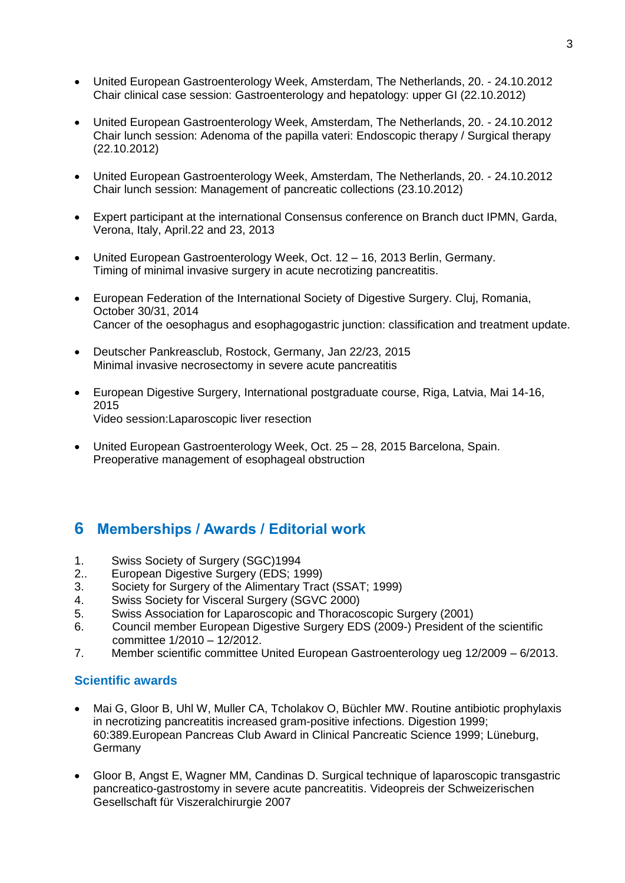- United European Gastroenterology Week, Amsterdam, The Netherlands, 20. 24.10.2012 Chair clinical case session: Gastroenterology and hepatology: upper GI (22.10.2012)
- United European Gastroenterology Week, Amsterdam, The Netherlands, 20. 24.10.2012 Chair lunch session: Adenoma of the papilla vateri: Endoscopic therapy / Surgical therapy (22.10.2012)
- United European Gastroenterology Week, Amsterdam, The Netherlands, 20. 24.10.2012 Chair lunch session: Management of pancreatic collections (23.10.2012)
- Expert participant at the international Consensus conference on Branch duct IPMN, Garda, Verona, Italy, April.22 and 23, 2013
- United European Gastroenterology Week, Oct. 12 16, 2013 Berlin, Germany. Timing of minimal invasive surgery in acute necrotizing pancreatitis.
- European Federation of the International Society of Digestive Surgery. Cluj, Romania, October 30/31, 2014 Cancer of the oesophagus and esophagogastric junction: classification and treatment update.
- Deutscher Pankreasclub, Rostock, Germany, Jan 22/23, 2015 Minimal invasive necrosectomy in severe acute pancreatitis
- European Digestive Surgery, International postgraduate course, Riga, Latvia, Mai 14-16, 2015 Video session:Laparoscopic liver resection
- United European Gastroenterology Week, Oct. 25 28, 2015 Barcelona, Spain. Preoperative management of esophageal obstruction

### **6 Memberships / Awards / Editorial work**

- 1. Swiss Society of Surgery (SGC)1994
- 2.. European Digestive Surgery (EDS; 1999)
- 3. Society for Surgery of the Alimentary Tract (SSAT; 1999)
- 4. Swiss Society for Visceral Surgery (SGVC 2000)
- 5. Swiss Association for Laparoscopic and Thoracoscopic Surgery (2001)
- 6. Council member European Digestive Surgery EDS (2009-) President of the scientific committee 1/2010 – 12/2012.
- 7. Member scientific committee United European Gastroenterology ueg 12/2009 6/2013.

#### **Scientific awards**

- Mai G, Gloor B, Uhl W, Muller CA, Tcholakov O, Büchler MW. Routine antibiotic prophylaxis in necrotizing pancreatitis increased gram-positive infections. Digestion 1999; 60:389.European Pancreas Club Award in Clinical Pancreatic Science 1999; Lüneburg, Germany
- Gloor B, Angst E, Wagner MM, Candinas D. Surgical technique of laparoscopic transgastric pancreatico-gastrostomy in severe acute pancreatitis. Videopreis der Schweizerischen Gesellschaft für Viszeralchirurgie 2007